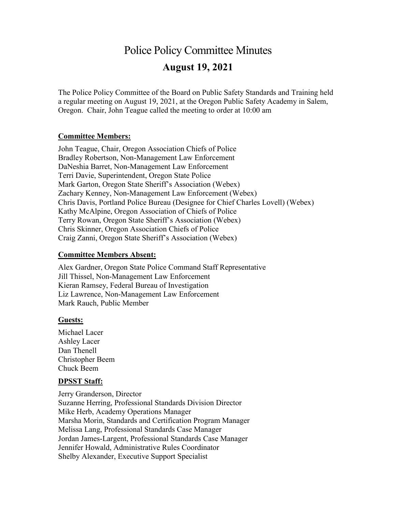# Police Policy Committee Minutes **August 19, 2021**

The Police Policy Committee of the Board on Public Safety Standards and Training held a regular meeting on August 19, 2021, at the Oregon Public Safety Academy in Salem, Oregon. Chair, John Teague called the meeting to order at 10:00 am

#### **Committee Members:**

John Teague, Chair, Oregon Association Chiefs of Police Bradley Robertson, Non-Management Law Enforcement DaNeshia Barret, Non-Management Law Enforcement Terri Davie, Superintendent, Oregon State Police Mark Garton, Oregon State Sheriff's Association (Webex) Zachary Kenney, Non-Management Law Enforcement (Webex) Chris Davis, Portland Police Bureau (Designee for Chief Charles Lovell) (Webex) Kathy McAlpine, Oregon Association of Chiefs of Police Terry Rowan, Oregon State Sheriff's Association (Webex) Chris Skinner, Oregon Association Chiefs of Police Craig Zanni, Oregon State Sheriff's Association (Webex)

#### **Committee Members Absent:**

Alex Gardner, Oregon State Police Command Staff Representative Jill Thissel, Non-Management Law Enforcement Kieran Ramsey, Federal Bureau of Investigation Liz Lawrence, Non-Management Law Enforcement Mark Rauch, Public Member

#### **Guests:**

Michael Lacer Ashley Lacer Dan Thenell Christopher Beem Chuck Beem

#### **DPSST Staff:**

Jerry Granderson, Director Suzanne Herring, Professional Standards Division Director Mike Herb, Academy Operations Manager Marsha Morin, Standards and Certification Program Manager Melissa Lang, Professional Standards Case Manager Jordan James-Largent, Professional Standards Case Manager Jennifer Howald, Administrative Rules Coordinator Shelby Alexander, Executive Support Specialist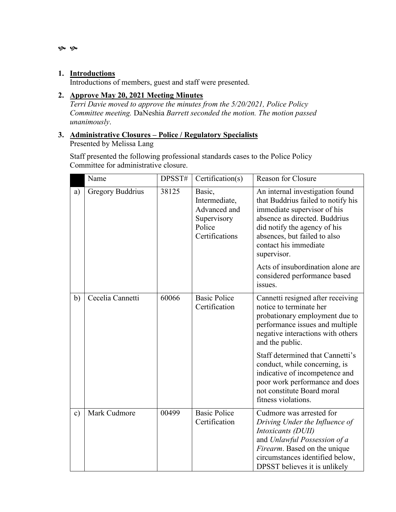$\infty$ 

#### **1. Introductions**

Introductions of members, guest and staff were presented.

## **2. Approve May 20, 2021 Meeting Minutes**

*Terri Davie moved to approve the minutes from the 5/20/2021, Police Policy Committee meeting.* DaNeshia *Barrett seconded the motion. The motion passed unanimously*.

#### **3. Administrative Closures – Police / Regulatory Specialists** Presented by Melissa Lang

Staff presented the following professional standards cases to the Police Policy Committee for administrative closure.

|               | Name                    | DPSST# | Certification(s)                                                                   | Reason for Closure                                                                                                                                                                                                                                                                                                            |
|---------------|-------------------------|--------|------------------------------------------------------------------------------------|-------------------------------------------------------------------------------------------------------------------------------------------------------------------------------------------------------------------------------------------------------------------------------------------------------------------------------|
| a)            | <b>Gregory Buddrius</b> | 38125  | Basic,<br>Intermediate,<br>Advanced and<br>Supervisory<br>Police<br>Certifications | An internal investigation found<br>that Buddrius failed to notify his<br>immediate supervisor of his<br>absence as directed. Buddrius<br>did notify the agency of his<br>absences, but failed to also<br>contact his immediate<br>supervisor.<br>Acts of insubordination alone are<br>considered performance based<br>issues. |
| b)            | Cecelia Cannetti        | 60066  | <b>Basic Police</b><br>Certification                                               | Cannetti resigned after receiving<br>notice to terminate her<br>probationary employment due to<br>performance issues and multiple<br>negative interactions with others<br>and the public.                                                                                                                                     |
|               |                         |        |                                                                                    | Staff determined that Cannetti's<br>conduct, while concerning, is<br>indicative of incompetence and<br>poor work performance and does<br>not constitute Board moral<br>fitness violations.                                                                                                                                    |
| $\mathbf{c})$ | Mark Cudmore            | 00499  | <b>Basic Police</b><br>Certification                                               | Cudmore was arrested for<br>Driving Under the Influence of<br>Intoxicants (DUII)<br>and Unlawful Possession of a<br>Firearm. Based on the unique<br>circumstances identified below,<br>DPSST believes it is unlikely                                                                                                          |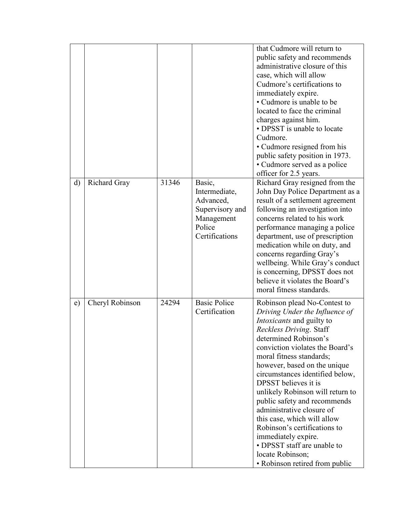|              |                 |       |                                                                                                   | that Cudmore will return to<br>public safety and recommends<br>administrative closure of this<br>case, which will allow<br>Cudmore's certifications to<br>immediately expire.<br>• Cudmore is unable to be<br>located to face the criminal<br>charges against him.<br>• DPSST is unable to locate<br>Cudmore.<br>• Cudmore resigned from his<br>public safety position in 1973.<br>· Cudmore served as a police<br>officer for 2.5 years.                                                                                                                                             |
|--------------|-----------------|-------|---------------------------------------------------------------------------------------------------|---------------------------------------------------------------------------------------------------------------------------------------------------------------------------------------------------------------------------------------------------------------------------------------------------------------------------------------------------------------------------------------------------------------------------------------------------------------------------------------------------------------------------------------------------------------------------------------|
| d)           | Richard Gray    | 31346 | Basic,<br>Intermediate,<br>Advanced,<br>Supervisory and<br>Management<br>Police<br>Certifications | Richard Gray resigned from the<br>John Day Police Department as a<br>result of a settlement agreement<br>following an investigation into<br>concerns related to his work<br>performance managing a police<br>department, use of prescription<br>medication while on duty, and<br>concerns regarding Gray's<br>wellbeing. While Gray's conduct<br>is concerning, DPSST does not<br>believe it violates the Board's<br>moral fitness standards.                                                                                                                                         |
| $\epsilon$ ) | Cheryl Robinson | 24294 | <b>Basic Police</b><br>Certification                                                              | Robinson plead No-Contest to<br>Driving Under the Influence of<br>Intoxicants and guilty to<br>Reckless Driving. Staff<br>determined Robinson's<br>conviction violates the Board's<br>moral fitness standards;<br>however, based on the unique<br>circumstances identified below,<br>DPSST believes it is<br>unlikely Robinson will return to<br>public safety and recommends<br>administrative closure of<br>this case, which will allow<br>Robinson's certifications to<br>immediately expire.<br>• DPSST staff are unable to<br>locate Robinson;<br>• Robinson retired from public |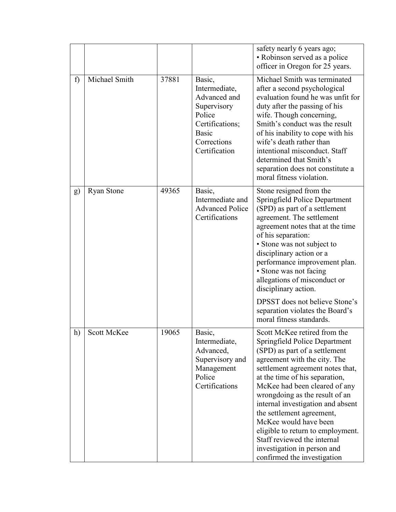|    |                   |       |                                                                                                                                     | safety nearly 6 years ago;<br>• Robinson served as a police<br>officer in Oregon for 25 years.                                                                                                                                                                                                                                                                                                                                                                                                       |
|----|-------------------|-------|-------------------------------------------------------------------------------------------------------------------------------------|------------------------------------------------------------------------------------------------------------------------------------------------------------------------------------------------------------------------------------------------------------------------------------------------------------------------------------------------------------------------------------------------------------------------------------------------------------------------------------------------------|
| f) | Michael Smith     | 37881 | Basic,<br>Intermediate,<br>Advanced and<br>Supervisory<br>Police<br>Certifications;<br><b>Basic</b><br>Corrections<br>Certification | Michael Smith was terminated<br>after a second psychological<br>evaluation found he was unfit for<br>duty after the passing of his<br>wife. Though concerning,<br>Smith's conduct was the result<br>of his inability to cope with his<br>wife's death rather than<br>intentional misconduct. Staff<br>determined that Smith's<br>separation does not constitute a<br>moral fitness violation.                                                                                                        |
| g) | <b>Ryan Stone</b> | 49365 | Basic,<br>Intermediate and<br><b>Advanced Police</b><br>Certifications                                                              | Stone resigned from the<br>Springfield Police Department<br>(SPD) as part of a settlement<br>agreement. The settlement<br>agreement notes that at the time<br>of his separation:<br>· Stone was not subject to<br>disciplinary action or a<br>performance improvement plan.<br>• Stone was not facing<br>allegations of misconduct or<br>disciplinary action.<br>DPSST does not believe Stone's<br>separation violates the Board's<br>moral fitness standards.                                       |
| h) | Scott McKee       | 19065 | Basic,<br>Intermediate,<br>Advanced,<br>Supervisory and<br>Management<br>Police<br>Certifications                                   | Scott McKee retired from the<br>Springfield Police Department<br>(SPD) as part of a settlement<br>agreement with the city. The<br>settlement agreement notes that,<br>at the time of his separation,<br>McKee had been cleared of any<br>wrongdoing as the result of an<br>internal investigation and absent<br>the settlement agreement,<br>McKee would have been<br>eligible to return to employment.<br>Staff reviewed the internal<br>investigation in person and<br>confirmed the investigation |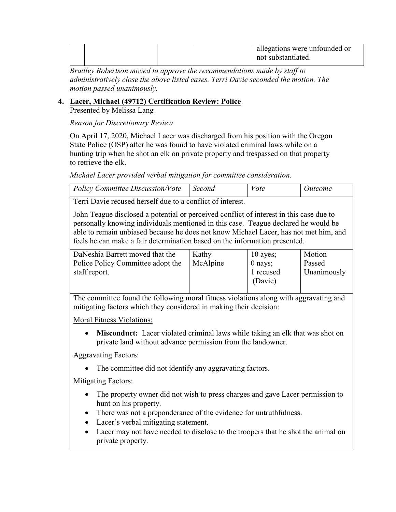|  |  | allegations were unfounded or<br>not substantiated. |
|--|--|-----------------------------------------------------|
|  |  |                                                     |

*Bradley Robertson moved to approve the recommendations made by staff to administratively close the above listed cases. Terri Davie seconded the motion. The motion passed unanimously.*

#### **4. Lacer, Michael (49712) Certification Review: Police**

Presented by Melissa Lang

*Reason for Discretionary Review*

On April 17, 2020, Michael Lacer was discharged from his position with the Oregon State Police (OSP) after he was found to have violated criminal laws while on a hunting trip when he shot an elk on private property and trespassed on that property to retrieve the elk.

*Michael Lacer provided verbal mitigation for committee consideration.*

| Policy Committee Discussion/Vote | Second | <i>Vote</i> | <i><u><b>Outcome</b></u></i> |
|----------------------------------|--------|-------------|------------------------------|
| $\sim$                           |        |             |                              |

Terri Davie recused herself due to a conflict of interest.

John Teague disclosed a potential or perceived conflict of interest in this case due to personally knowing individuals mentioned in this case. Teague declared he would be able to remain unbiased because he does not know Michael Lacer, has not met him, and feels he can make a fair determination based on the information presented.

| DaNeshia Barrett moved that the   | Kathy    | $10$ ayes; | Motion             |
|-----------------------------------|----------|------------|--------------------|
| Police Policy Committee adopt the | McAlpine | $0$ nays;  | Passed             |
| staff report.                     |          | 1 recused  | <b>Unanimously</b> |
|                                   |          | (Davie)    |                    |
|                                   |          |            |                    |

The committee found the following moral fitness violations along with aggravating and mitigating factors which they considered in making their decision:

Moral Fitness Violations:

• **Misconduct:** Lacer violated criminal laws while taking an elk that was shot on private land without advance permission from the landowner.

Aggravating Factors:

• The committee did not identify any aggravating factors.

Mitigating Factors:

- The property owner did not wish to press charges and gave Lacer permission to hunt on his property.
- There was not a preponderance of the evidence for untruthfulness.
- Lacer's verbal mitigating statement.
- Lacer may not have needed to disclose to the troopers that he shot the animal on private property.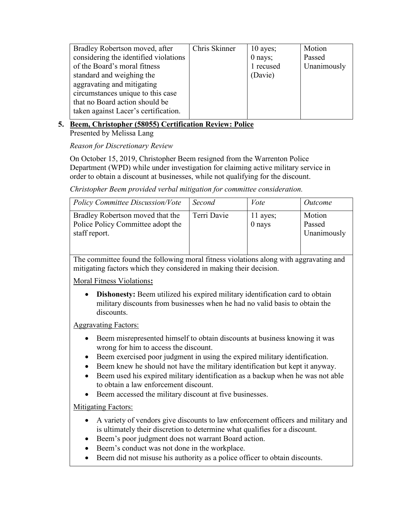| Bradley Robertson moved, after        | Chris Skinner | $10$ ayes; | Motion      |
|---------------------------------------|---------------|------------|-------------|
| considering the identified violations |               | $0$ nays;  | Passed      |
| of the Board's moral fitness          |               | 1 recused  | Unanimously |
| standard and weighing the             |               | (Davie)    |             |
| aggravating and mitigating            |               |            |             |
| circumstances unique to this case     |               |            |             |
| that no Board action should be        |               |            |             |
| taken against Lacer's certification.  |               |            |             |
|                                       |               |            |             |

## **5. Beem, Christopher (58055) Certification Review: Police**

Presented by Melissa Lang

*Reason for Discretionary Review*

On October 15, 2019, Christopher Beem resigned from the Warrenton Police Department (WPD) while under investigation for claiming active military service in order to obtain a discount at businesses, while not qualifying for the discount.

*Christopher Beem provided verbal mitigation for committee consideration.*

| <b>Policy Committee Discussion/Vote</b>                                                | Second      | Vote                 | <i>Outcome</i>                  |
|----------------------------------------------------------------------------------------|-------------|----------------------|---------------------------------|
| Bradley Robertson moved that the<br>Police Policy Committee adopt the<br>staff report. | Terri Davie | 11 ayes;<br>$0$ nays | Motion<br>Passed<br>Unanimously |

The committee found the following moral fitness violations along with aggravating and mitigating factors which they considered in making their decision.

Moral Fitness Violations**:**

• **Dishonesty:** Beem utilized his expired military identification card to obtain military discounts from businesses when he had no valid basis to obtain the discounts.

Aggravating Factors:

- Beem misrepresented himself to obtain discounts at business knowing it was wrong for him to access the discount.
- Beem exercised poor judgment in using the expired military identification.
- Beem knew he should not have the military identification but kept it anyway.
- Beem used his expired military identification as a backup when he was not able to obtain a law enforcement discount.
- Beem accessed the military discount at five businesses.

Mitigating Factors:

- A variety of vendors give discounts to law enforcement officers and military and is ultimately their discretion to determine what qualifies for a discount.
- Beem's poor judgment does not warrant Board action.
- Beem's conduct was not done in the workplace.
- Beem did not misuse his authority as a police officer to obtain discounts.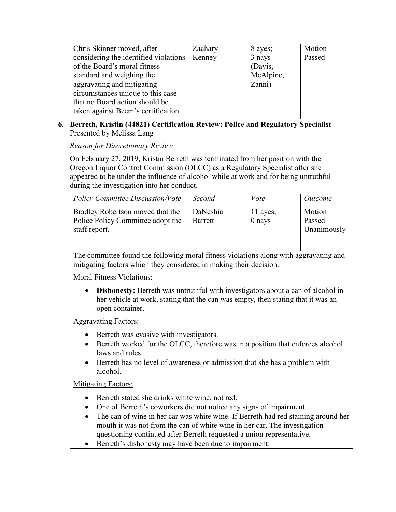| Chris Skinner moved, after            | Zachary | 8 ayes;   | Motion |
|---------------------------------------|---------|-----------|--------|
| considering the identified violations | Kenney  | 3 nays    | Passed |
| of the Board's moral fitness          |         | (Davis,   |        |
| standard and weighing the             |         | McAlpine, |        |
| aggravating and mitigating            |         | Zanni)    |        |
| circumstances unique to this case     |         |           |        |
| that no Board action should be        |         |           |        |
| taken against Beem's certification.   |         |           |        |
|                                       |         |           |        |

## **6. Berreth, Kristin (44821) Certification Review: Police and Regulatory Specialist**  Presented by Melissa Lang

*Reason for Discretionary Review*

On February 27, 2019, Kristin Berreth was terminated from her position with the Oregon Liquor Control Commission (OLCC) as a Regulatory Specialist after she appeared to be under the influence of alcohol while at work and for being untruthful during the investigation into her conduct.

| <b>Policy Committee Discussion/Vote</b>                                                | Second              | Vote                 | Outcome                         |
|----------------------------------------------------------------------------------------|---------------------|----------------------|---------------------------------|
| Bradley Robertson moved that the<br>Police Policy Committee adopt the<br>staff report. | DaNeshia<br>Barrett | 11 ayes;<br>$0$ nays | Motion<br>Passed<br>Unanimously |

The committee found the following moral fitness violations along with aggravating and mitigating factors which they considered in making their decision.

Moral Fitness Violations:

• **Dishonesty:** Berreth was untruthful with investigators about a can of alcohol in her vehicle at work, stating that the can was empty, then stating that it was an open container.

Aggravating Factors:

- Berreth was evasive with investigators.
- Berreth worked for the OLCC, therefore was in a position that enforces alcohol laws and rules.
- Berreth has no level of awareness or admission that she has a problem with alcohol.

**Mitigating Factors:** 

- Berreth stated she drinks white wine, not red.
- One of Berreth's coworkers did not notice any signs of impairment.
- The can of wine in her car was white wine. If Berreth had red staining around her mouth it was not from the can of white wine in her car. The investigation questioning continued after Berreth requested a union representative.
- Berreth's dishonesty may have been due to impairment.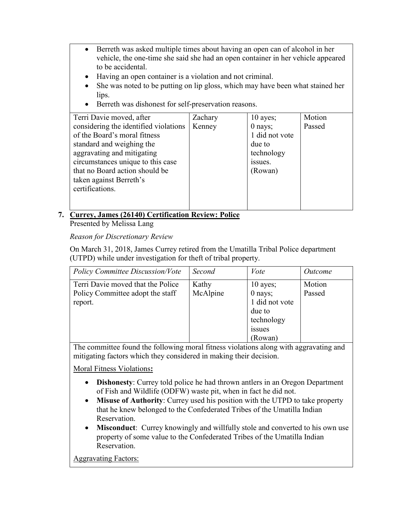- Berreth was asked multiple times about having an open can of alcohol in her vehicle, the one-time she said she had an open container in her vehicle appeared to be accidental.
- Having an open container is a violation and not criminal.
- She was noted to be putting on lip gloss, which may have been what stained her lips.
- Berreth was dishonest for self-preservation reasons.

| Terri Davie moved, after              | Zachary | $10$ ayes;     | Motion |
|---------------------------------------|---------|----------------|--------|
| considering the identified violations | Kenney  | $0$ nays;      | Passed |
| of the Board's moral fitness          |         | 1 did not vote |        |
| standard and weighing the             |         | due to         |        |
| aggravating and mitigating            |         | technology     |        |
| circumstances unique to this case     |         | issues.        |        |
| that no Board action should be        |         | (Rowan)        |        |
| taken against Berreth's               |         |                |        |
| certifications.                       |         |                |        |
|                                       |         |                |        |
|                                       |         |                |        |

## **7. Currey, James (26140) Certification Review: Police**

Presented by Melissa Lang

*Reason for Discretionary Review*

On March 31, 2018, James Currey retired from the Umatilla Tribal Police department (UTPD) while under investigation for theft of tribal property.

| <b>Policy Committee Discussion/Vote</b>                                          | Second            | Vote                                                                                               | <i>Outcome</i>   |
|----------------------------------------------------------------------------------|-------------------|----------------------------------------------------------------------------------------------------|------------------|
| Terri Davie moved that the Police<br>Policy Committee adopt the staff<br>report. | Kathy<br>McAlpine | $10$ ayes;<br>$0$ nays;<br>1 did not vote<br>due to<br>technology<br>1SSU <sub>es</sub><br>(Rowan) | Motion<br>Passed |

The committee found the following moral fitness violations along with aggravating and mitigating factors which they considered in making their decision.

Moral Fitness Violations**:**

- **Dishonesty**: Currey told police he had thrown antlers in an Oregon Department of Fish and Wildlife (ODFW) waste pit, when in fact he did not.
- **Misuse of Authority**: Currey used his position with the UTPD to take property that he knew belonged to the Confederated Tribes of the Umatilla Indian Reservation.
- **Misconduct**: Currey knowingly and willfully stole and converted to his own use property of some value to the Confederated Tribes of the Umatilla Indian Reservation.

Aggravating Factors: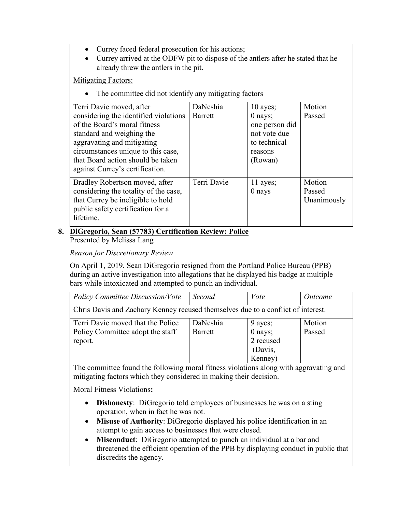- Currey faced federal prosecution for his actions;
- Currey arrived at the ODFW pit to dispose of the antlers after he stated that he already threw the antlers in the pit.

Mitigating Factors:

• The committee did not identify any mitigating factors

| Terri Davie moved, after              | DaNeshia       | $10$ ayes;     | Motion      |
|---------------------------------------|----------------|----------------|-------------|
| considering the identified violations | <b>Barrett</b> | $0$ nays;      | Passed      |
| of the Board's moral fitness          |                | one person did |             |
| standard and weighing the             |                | not vote due   |             |
| aggravating and mitigating            |                | to technical   |             |
| circumstances unique to this case,    |                | reasons        |             |
| that Board action should be taken     |                | (Rowan)        |             |
| against Currey's certification.       |                |                |             |
| Bradley Robertson moved, after        | Terri Davie    | 11 ayes;       | Motion      |
| considering the totality of the case, |                | $0$ nays       | Passed      |
| that Currey be ineligible to hold     |                |                | Unanimously |
| public safety certification for a     |                |                |             |
| lifetime.                             |                |                |             |
|                                       |                |                |             |

## **8. DiGregorio, Sean (57783) Certification Review: Police**

Presented by Melissa Lang

*Reason for Discretionary Review*

On April 1, 2019, Sean DiGregorio resigned from the Portland Police Bureau (PPB) during an active investigation into allegations that he displayed his badge at multiple bars while intoxicated and attempted to punch an individual.

| <b>Policy Committee Discussion/Vote</b>                                          | Second   | Vote      | <i>Outcome</i> |
|----------------------------------------------------------------------------------|----------|-----------|----------------|
|                                                                                  |          |           |                |
| Chris Davis and Zachary Kenney recused themselves due to a conflict of interest. |          |           |                |
| Terri Davie moved that the Police                                                | DaNeshia | 9 ayes;   | Motion         |
| Policy Committee adopt the staff                                                 | Barrett  | 0 nays;   | Passed         |
| report.                                                                          |          | 2 recused |                |
|                                                                                  |          | (Davis,   |                |
|                                                                                  |          | Kenney)   |                |

The committee found the following moral fitness violations along with aggravating and mitigating factors which they considered in making their decision.

Moral Fitness Violations**:**

- **Dishonesty**: DiGregorio told employees of businesses he was on a sting operation, when in fact he was not.
- **Misuse of Authority**: DiGregorio displayed his police identification in an attempt to gain access to businesses that were closed.
- **Misconduct**: DiGregorio attempted to punch an individual at a bar and threatened the efficient operation of the PPB by displaying conduct in public that discredits the agency.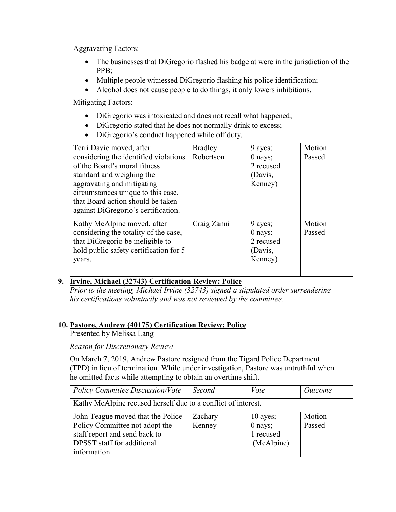Aggravating Factors:

- The businesses that DiGregorio flashed his badge at were in the jurisdiction of the PPB;
- Multiple people witnessed DiGregorio flashing his police identification;
- Alcohol does not cause people to do things, it only lowers inhibitions.

**Mitigating Factors:** 

- DiGregorio was intoxicated and does not recall what happened;
- DiGregorio stated that he does not normally drink to excess;
- DiGregorio's conduct happened while off duty.

| Terri Davie moved, after               | <b>Bradley</b> | 9 ayes;   | Motion |
|----------------------------------------|----------------|-----------|--------|
| considering the identified violations  | Robertson      | $0$ nays; | Passed |
| of the Board's moral fitness           |                | 2 recused |        |
| standard and weighing the              |                | (Davis,   |        |
| aggravating and mitigating             |                | Kenney)   |        |
| circumstances unique to this case,     |                |           |        |
| that Board action should be taken      |                |           |        |
| against DiGregorio's certification.    |                |           |        |
| Kathy McAlpine moved, after            | Craig Zanni    | 9 ayes;   | Motion |
| considering the totality of the case,  |                | $0$ nays; | Passed |
| that DiGregorio be ineligible to       |                | 2 recused |        |
| hold public safety certification for 5 |                | (Davis,   |        |
| years.                                 |                | Kenney)   |        |
|                                        |                |           |        |
|                                        |                |           |        |

## **9. Irvine, Michael (32743) Certification Review: Police**

*Prior to the meeting, Michael Irvine (32743) signed a stipulated order surrendering his certifications voluntarily and was not reviewed by the committee.* 

## **10. Pastore, Andrew (40175) Certification Review: Police**

Presented by Melissa Lang

*Reason for Discretionary Review*

On March 7, 2019, Andrew Pastore resigned from the Tigard Police Department (TPD) in lieu of termination. While under investigation, Pastore was untruthful when he omitted facts while attempting to obtain an overtime shift.

| <b>Policy Committee Discussion/Vote</b>                       | Second  | Vote       | <i><u>Outcome</u></i> |
|---------------------------------------------------------------|---------|------------|-----------------------|
| Kathy McAlpine recused herself due to a conflict of interest. |         |            |                       |
| John Teague moved that the Police                             | Zachary | $10$ ayes; | Motion                |
| Policy Committee not adopt the                                | Kenney  | $0$ nays;  | Passed                |
| staff report and send back to                                 |         | 1 recused  |                       |
| DPSST staff for additional                                    |         | (McAlpine) |                       |
| information.                                                  |         |            |                       |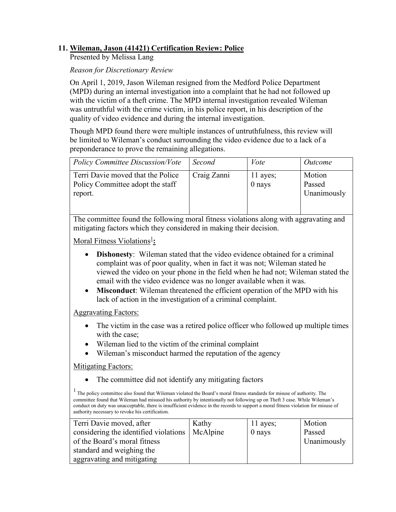## **11. Wileman, Jason (41421) Certification Review: Police**

Presented by Melissa Lang

*Reason for Discretionary Review*

On April 1, 2019, Jason Wileman resigned from the Medford Police Department (MPD) during an internal investigation into a complaint that he had not followed up with the victim of a theft crime. The MPD internal investigation revealed Wileman was untruthful with the crime victim, in his police report, in his description of the quality of video evidence and during the internal investigation.

Though MPD found there were multiple instances of untruthfulness, this review will be limited to Wileman's conduct surrounding the video evidence due to a lack of a preponderance to prove the remaining allegations.

| <b>Policy Committee Discussion/Vote</b>                                          | Second      | Vote                 | Outcome                         |
|----------------------------------------------------------------------------------|-------------|----------------------|---------------------------------|
| Terri Davie moved that the Police<br>Policy Committee adopt the staff<br>report. | Craig Zanni | 11 ayes;<br>$0$ nays | Motion<br>Passed<br>Unanimously |

The committee found the following moral fitness violations along with aggravating and mitigating factors which they considered in making their decision.

**Moral Fitness Violations<sup>1</sup>:** 

- **Dishonesty**: Wileman stated that the video evidence obtained for a criminal complaint was of poor quality, when in fact it was not; Wileman stated he viewed the video on your phone in the field when he had not; Wileman stated the email with the video evidence was no longer available when it was.
- **Misconduct**: Wileman threatened the efficient operation of the MPD with his lack of action in the investigation of a criminal complaint.

#### Aggravating Factors:

- The victim in the case was a retired police officer who followed up multiple times with the case;
- Wileman lied to the victim of the criminal complaint
- Wileman's misconduct harmed the reputation of the agency

#### Mitigating Factors:

• The committee did not identify any mitigating factors

<sup>1</sup> The policy committee also found that Wileman violated the Board's moral fitness standards for misuse of authority. The committee found that Wileman had misused his authority by intentionally not following up on Theft 3 case. While Wileman's conduct on duty was unacceptable, there is insufficient evidence in the records to support a moral fitness violation for misuse of authority necessary to revoke his certification.

| Terri Davie moved, after                         | Kathy | 11 ayes; | Motion      |
|--------------------------------------------------|-------|----------|-------------|
| considering the identified violations   McAlpine |       | $0$ nays | Passed      |
| of the Board's moral fitness                     |       |          | Unanimously |
| standard and weighing the                        |       |          |             |
| aggravating and mitigating                       |       |          |             |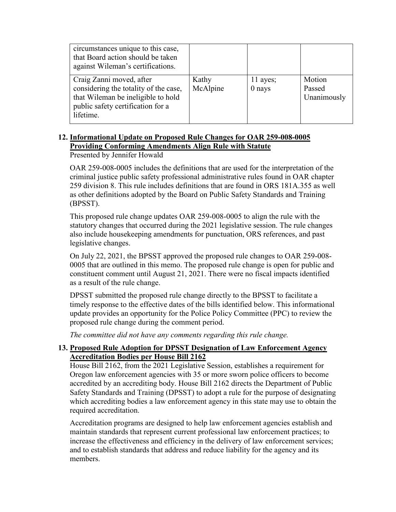| circumstances unique to this case,<br>that Board action should be taken<br>against Wileman's certifications.                                              |                   |                        |                                 |
|-----------------------------------------------------------------------------------------------------------------------------------------------------------|-------------------|------------------------|---------------------------------|
| Craig Zanni moved, after<br>considering the totality of the case,<br>that Wileman be ineligible to hold<br>public safety certification for a<br>lifetime. | Kathy<br>McAlpine | $11$ ayes;<br>$0$ nays | Motion<br>Passed<br>Unanimously |

## **12. Informational Update on Proposed Rule Changes for OAR 259-008-0005 Providing Conforming Amendments Align Rule with Statute**

Presented by Jennifer Howald

OAR 259-008-0005 includes the definitions that are used for the interpretation of the criminal justice public safety professional administrative rules found in OAR chapter 259 division 8. This rule includes definitions that are found in ORS 181A.355 as well as other definitions adopted by the Board on Public Safety Standards and Training (BPSST).

This proposed rule change updates OAR 259-008-0005 to align the rule with the statutory changes that occurred during the 2021 legislative session. The rule changes also include housekeeping amendments for punctuation, ORS references, and past legislative changes.

On July 22, 2021, the BPSST approved the proposed rule changes to OAR 259-008- 0005 that are outlined in this memo. The proposed rule change is open for public and constituent comment until August 21, 2021. There were no fiscal impacts identified as a result of the rule change.

DPSST submitted the proposed rule change directly to the BPSST to facilitate a timely response to the effective dates of the bills identified below. This informational update provides an opportunity for the Police Policy Committee (PPC) to review the proposed rule change during the comment period.

*The committee did not have any comments regarding this rule change.*

## **13. Proposed Rule Adoption for DPSST Designation of Law Enforcement Agency Accreditation Bodies per House Bill 2162**

House Bill 2162, from the 2021 Legislative Session, establishes a requirement for Oregon law enforcement agencies with 35 or more sworn police officers to become accredited by an accrediting body. House Bill 2162 directs the Department of Public Safety Standards and Training (DPSST) to adopt a rule for the purpose of designating which accrediting bodies a law enforcement agency in this state may use to obtain the required accreditation.

Accreditation programs are designed to help law enforcement agencies establish and maintain standards that represent current professional law enforcement practices; to increase the effectiveness and efficiency in the delivery of law enforcement services; and to establish standards that address and reduce liability for the agency and its members.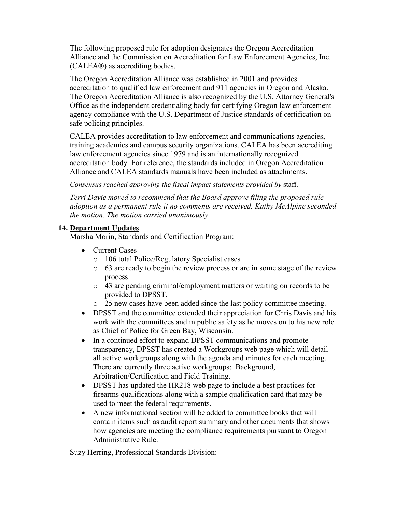The following proposed rule for adoption designates the Oregon Accreditation Alliance and the Commission on Accreditation for Law Enforcement Agencies, Inc. (CALEA®) as accrediting bodies.

The Oregon Accreditation Alliance was established in 2001 and provides accreditation to qualified law enforcement and 911 agencies in Oregon and Alaska. The Oregon Accreditation Alliance is also recognized by the U.S. Attorney General's Office as the independent credentialing body for certifying Oregon law enforcement agency compliance with the U.S. Department of Justice standards of certification on safe policing principles.

CALEA provides accreditation to law enforcement and communications agencies, training academies and campus security organizations. CALEA has been accrediting law enforcement agencies since 1979 and is an internationally recognized accreditation body. For reference, the standards included in Oregon Accreditation Alliance and CALEA standards manuals have been included as attachments.

*Consensus reached approving the fiscal impact statements provided by* staff.

*Terri Davie moved to recommend that the Board approve filing the proposed rule adoption as a permanent rule if no comments are received. Kathy McAlpine seconded the motion. The motion carried unanimously.*

#### **14. Department Updates**

Marsha Morin, Standards and Certification Program:

- Current Cases
	- o 106 total Police/Regulatory Specialist cases
	- o 63 are ready to begin the review process or are in some stage of the review process.
	- o 43 are pending criminal/employment matters or waiting on records to be provided to DPSST.
	- o 25 new cases have been added since the last policy committee meeting.
- DPSST and the committee extended their appreciation for Chris Davis and his work with the committees and in public safety as he moves on to his new role as Chief of Police for Green Bay, Wisconsin.
- In a continued effort to expand DPSST communications and promote transparency, DPSST has created a Workgroups web page which will detail all active workgroups along with the agenda and minutes for each meeting. There are currently three active workgroups: Background, Arbitration/Certification and Field Training.
- DPSST has updated the HR218 web page to include a best practices for firearms qualifications along with a sample qualification card that may be used to meet the federal requirements.
- A new informational section will be added to committee books that will contain items such as audit report summary and other documents that shows how agencies are meeting the compliance requirements pursuant to Oregon Administrative Rule.

Suzy Herring, Professional Standards Division: